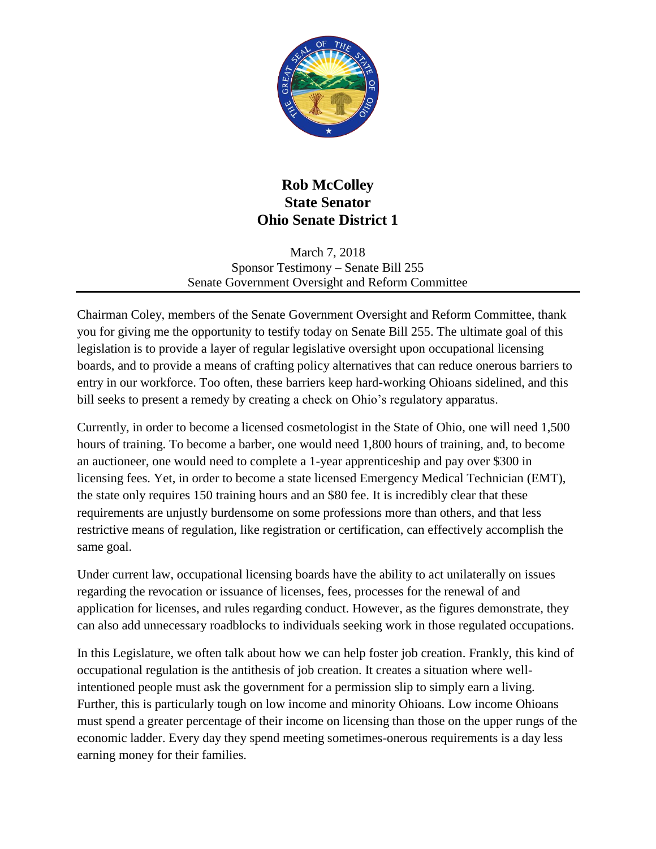

## **Rob McColley State Senator Ohio Senate District 1**

March 7, 2018 Sponsor Testimony – Senate Bill 255 Senate Government Oversight and Reform Committee

Chairman Coley, members of the Senate Government Oversight and Reform Committee, thank you for giving me the opportunity to testify today on Senate Bill 255. The ultimate goal of this legislation is to provide a layer of regular legislative oversight upon occupational licensing boards, and to provide a means of crafting policy alternatives that can reduce onerous barriers to entry in our workforce. Too often, these barriers keep hard-working Ohioans sidelined, and this bill seeks to present a remedy by creating a check on Ohio's regulatory apparatus.

Currently, in order to become a licensed cosmetologist in the State of Ohio, one will need 1,500 hours of training. To become a barber, one would need 1,800 hours of training, and, to become an auctioneer, one would need to complete a 1-year apprenticeship and pay over \$300 in licensing fees. Yet, in order to become a state licensed Emergency Medical Technician (EMT), the state only requires 150 training hours and an \$80 fee. It is incredibly clear that these requirements are unjustly burdensome on some professions more than others, and that less restrictive means of regulation, like registration or certification, can effectively accomplish the same goal.

Under current law, occupational licensing boards have the ability to act unilaterally on issues regarding the revocation or issuance of licenses, fees, processes for the renewal of and application for licenses, and rules regarding conduct. However, as the figures demonstrate, they can also add unnecessary roadblocks to individuals seeking work in those regulated occupations.

In this Legislature, we often talk about how we can help foster job creation. Frankly, this kind of occupational regulation is the antithesis of job creation. It creates a situation where wellintentioned people must ask the government for a permission slip to simply earn a living. Further, this is particularly tough on low income and minority Ohioans. Low income Ohioans must spend a greater percentage of their income on licensing than those on the upper rungs of the economic ladder. Every day they spend meeting sometimes-onerous requirements is a day less earning money for their families.